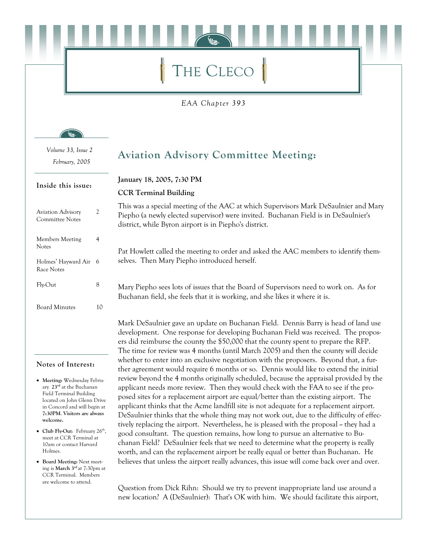# THE CLECO

EAA Chapter 393

Volume 33, Issue 2 February, 2005

# **Aviation Advisory Committee Meeting:**

Inside this issue:

### $\overline{2}$ **Aviation Advisory** Committee Notes Members Meeting  $\overline{4}$ **Notes** Holmes' Hayward Air 6 Race Notes  $8\,$ Fly-Out **Board Minutes** 10

#### Notes of Interest:

- Meeting: Wednesday February 23<sup>rd</sup> at the Buchanan Field Terminal Building located on John Glenn Drive in Concord and will begin at 7:30PM. Visitors are always welcome.
- Club Flv-Out: February  $26<sup>th</sup>$ . meet at CCR Terminal at 10am or contact Harvard Holmes
- Board Meeting: Next meeting is March 3<sup>rd</sup> at 7:30pm at CCR Terminal. Members are welcome to attend.

January 18, 2005, 7:30 PM

#### **CCR Terminal Building**

This was a special meeting of the AAC at which Supervisors Mark DeSaulnier and Mary Piepho (a newly elected supervisor) were invited. Buchanan Field is in DeSaulnier's district, while Byron airport is in Piepho's district.

Pat Howlett called the meeting to order and asked the AAC members to identify themselves. Then Mary Piepho introduced herself.

Mary Piepho sees lots of issues that the Board of Supervisors need to work on. As for Buchanan field, she feels that it is working, and she likes it where it is.

Mark DeSaulnier gave an update on Buchanan Field. Dennis Barry is head of land use development. One response for developing Buchanan Field was received. The proposers did reimburse the county the \$50,000 that the county spent to prepare the RFP. The time for review was 4 months (until March 2005) and then the county will decide whether to enter into an exclusive negotiation with the proposers. Beyond that, a further agreement would require 6 months or so. Dennis would like to extend the initial review beyond the 4 months originally scheduled, because the appraisal provided by the applicant needs more review. Then they would check with the FAA to see if the proposed sites for a replacement airport are equal/better than the existing airport. The applicant thinks that the Acme landfill site is not adequate for a replacement airport. DeSaulnier thinks that the whole thing may not work out, due to the difficulty of effectively replacing the airport. Nevertheless, he is pleased with the proposal  $\sim$  they had a good consultant. The question remains, how long to pursue an alternative to Buchanan Field? DeSaulnier feels that we need to determine what the property is really worth, and can the replacement airport be really equal or better than Buchanan. He believes that unless the airport really advances, this issue will come back over and over.

Question from Dick Rihn: Should we try to prevent inappropriate land use around a new location? A (DeSaulnier): That's OK with him. We should facilitate this airport,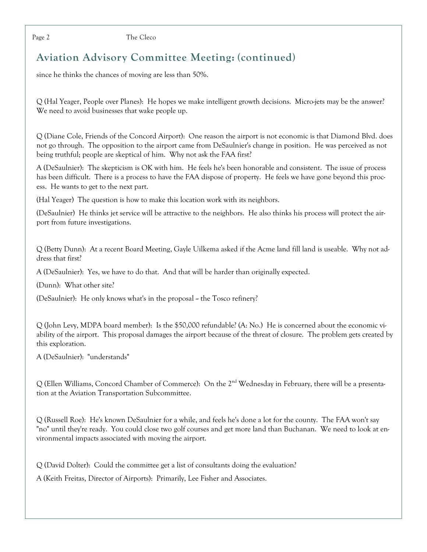The Cleco

# **Aviation Advisory Committee Meeting: (continued)**

since he thinks the chances of moving are less than 50%.

Q (Hal Yeager, People over Planes): He hopes we make intelligent growth decisions. Micro-jets may be the answer? We need to avoid businesses that wake people up.

Q (Diane Cole, Friends of the Concord Airport): One reason the airport is not economic is that Diamond Blvd. does not go through. The opposition to the airport came from DeSaulnier's change in position. He was perceived as not being truthful; people are skeptical of him. Why not ask the FAA first?

A (DeSaulnier): The skepticism is OK with him. He feels he's been honorable and consistent. The issue of process has been difficult. There is a process to have the FAA dispose of property. He feels we have gone beyond this process. He wants to get to the next part.

(Hal Yeager) The question is how to make this location work with its neighbors.

(DeSaulnier) He thinks jet service will be attractive to the neighbors. He also thinks his process will protect the airport from future investigations.

Q (Betty Dunn): At a recent Board Meeting, Gayle Uilkema asked if the Acme land fill land is useable. Why not address that first?

A (DeSaulnier): Yes, we have to do that. And that will be harder than originally expected.

(Dunn): What other site?

(DeSaulnier): He only knows what's in the proposal - the Tosco refinery?

 $Q$  (John Levy, MDPA board member): Is the \$50,000 refundable? (A: No.) He is concerned about the economic viability of the airport. This proposal damages the airport because of the threat of closure. The problem gets created by this exploration.

A (DeSaulnier): "understands"

Q (Ellen Williams, Concord Chamber of Commerce): On the 2<sup>nd</sup> Wednesday in February, there will be a presentation at the Aviation Transportation Subcommittee.

Q (Russell Roe): He's known DeSaulnier for a while, and feels he's done a lot for the county. The FAA won't say "no" until they're ready. You could close two golf courses and get more land than Buchanan. We need to look at environmental impacts associated with moving the airport.

 $Q$  (David Dolter): Could the committee get a list of consultants doing the evaluation?

A (Keith Freitas, Director of Airports): Primarily, Lee Fisher and Associates.

Page 2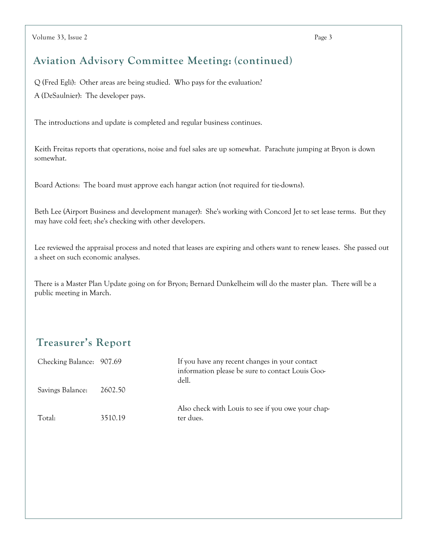### **Aviation Advisory Committee Meeting: (continued)**

Q (Fred Egli): Other areas are being studied. Who pays for the evaluation? A (DeSaulnier): The developer pays.

The introductions and update is completed and regular business continues.

Keith Freitas reports that operations, noise and fuel sales are up somewhat. Parachute jumping at Bryon is down somewhat.

Board Actions: The board must approve each hangar action (not required for tie-downs).

Beth Lee (Airport Business and development manager): She's working with Concord Jet to set lease terms. But they may have cold feet; she's checking with other developers.

Lee reviewed the appraisal process and noted that leases are expiring and others want to renew leases. She passed out a sheet on such economic analyses.

There is a Master Plan Update going on for Bryon; Bernard Dunkelheim will do the master plan. There will be a public meeting in March.

# **Treasurer's Report**

| Checking Balance: 907.69 |         | If you have any recent changes in your contact<br>information please be sure to contact Louis Goo-<br>dell. |
|--------------------------|---------|-------------------------------------------------------------------------------------------------------------|
| Savings Balance:         | 2602.50 |                                                                                                             |
| Total:                   | 3510.19 | Also check with Louis to see if you owe your chap-<br>ter dues.                                             |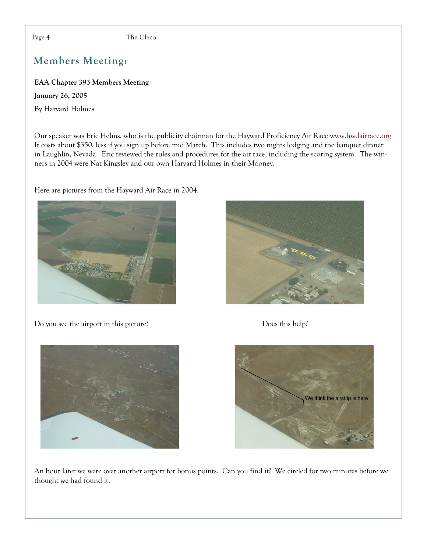Page 4

The Cleco

# **Members Meeting:**

EAA Chapter 393 Members Meeting

**January 26, 2005** 

By Harvard Holmes

Our speaker was Eric Helms, who is the publicity chairman for the Hayward Proficiency Air Race www.hwdairrace.org It costs about \$350, less if you sign up before mid March. This includes two nights lodging and the banquet dinner in Laughlin, Nevada. Eric reviewed the rules and procedures for the air race, including the scoring system. The winners in 2004 were Nat Kingsley and our own Harvard Holmes in their Mooney.

Here are pictures from the Hayward Air Race in 2004.



Do you see the airport in this picture?



Does this help?





An hour later we were over another airport for bonus points. Can you find it? We circled for two minutes before we thought we had found it.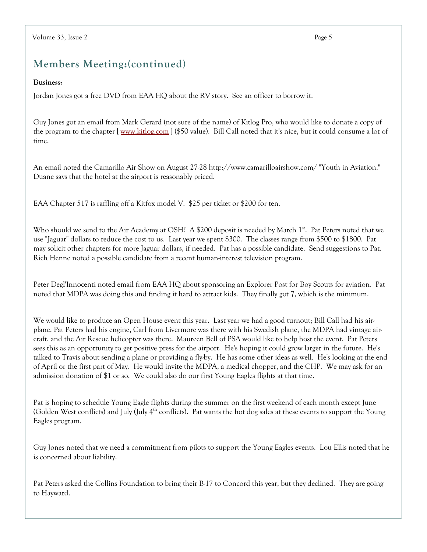# Members Meeting: (continued)

#### **Business:**

Jordan Jones got a free DVD from EAA HQ about the RV story. See an officer to borrow it.

Guy Jones got an email from Mark Gerard (not sure of the name) of Kitlog Pro, who would like to donate a copy of the program to the chapter [www.kitlog.com] (\$50 value). Bill Call noted that it's nice, but it could consume a lot of time.

An email noted the Camarillo Air Show on August 27-28 http://www.camarilloairshow.com/ "Youth in Aviation." Duane says that the hotel at the airport is reasonably priced.

EAA Chapter 517 is raffling off a Kitfox model V. \$25 per ticket or \$200 for ten.

Who should we send to the Air Academy at OSH? A \$200 deposit is needed by March 1<sup>st</sup>. Pat Peters noted that we use "Jaguar" dollars to reduce the cost to us. Last year we spent \$300. The classes range from \$500 to \$1800. Pat may solicit other chapters for more Jaguar dollars, if needed. Pat has a possible candidate. Send suggestions to Pat. Rich Henne noted a possible candidate from a recent human-interest television program.

Peter Degl'Innocenti noted email from EAA HQ about sponsoring an Explorer Post for Boy Scouts for aviation. Pat noted that MDPA was doing this and finding it hard to attract kids. They finally got 7, which is the minimum.

We would like to produce an Open House event this year. Last year we had a good turnout; Bill Call had his airplane, Pat Peters had his engine, Carl from Livermore was there with his Swedish plane, the MDPA had vintage aircraft, and the Air Rescue helicopter was there. Maureen Bell of PSA would like to help host the event. Pat Peters sees this as an opportunity to get positive press for the airport. He's hoping it could grow larger in the future. He's talked to Travis about sending a plane or providing a fly-by. He has some other ideas as well. He's looking at the end of April or the first part of May. He would invite the MDPA, a medical chopper, and the CHP. We may ask for an admission donation of \$1 or so. We could also do our first Young Eagles flights at that time.

Pat is hoping to schedule Young Eagle flights during the summer on the first weekend of each month except June (Golden West conflicts) and July (July 4<sup>th</sup> conflicts). Pat wants the hot dog sales at these events to support the Young Eagles program.

Guy Jones noted that we need a commitment from pilots to support the Young Eagles events. Lou Ellis noted that he is concerned about liability.

Pat Peters asked the Collins Foundation to bring their B-17 to Concord this year, but they declined. They are going to Hayward.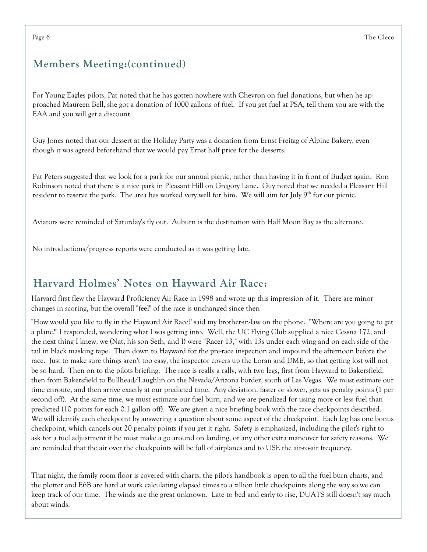# Members Meeting: (continued)

For Young Eagles pilots, Pat noted that he has gotten nowhere with Chevron on fuel donations, but when he approached Maureen Bell, she got a donation of 1000 gallons of fuel. If you get fuel at PSA, tell them you are with the EAA and you will get a discount.

Guy Jones noted that our dessert at the Holiday Party was a donation from Ernst Freitag of Alpine Bakery, even though it was agreed beforehand that we would pay Ernst half price for the desserts.

Pat Peters suggested that we look for a park for our annual picnic, rather than having it in front of Budget again. Ron Robinson noted that there is a nice park in Pleasant Hill on Gregory Lane. Guy noted that we needed a Pleasant Hill resident to reserve the park. The area has worked very well for him. We will aim for July 9<sup>th</sup> for our picnic.

Aviators were reminded of Saturday's fly out. Auburn is the destination with Half Moon Bay as the alternate.

No introductions/progress reports were conducted as it was getting late.

# Harvard Holmes' Notes on Hayward Air Race:

Harvard first flew the Hayward Proficiency Air Race in 1998 and wrote up this impression of it. There are minor changes in scoring, but the overall "feel" of the race is unchanged since then

"How would you like to fly in the Hayward Air Race?' said my brother-in-law on the phone. "Where are you going to get a plane?" I responded, wondering what I was getting into. Well, the UC Flying Club supplied a nice Cessna 172, and the next thing I knew, we (Nat, his son Seth, and I) were "Racer 13," with 13s under each wing and on each side of the tail in black masking tape. Then down to Hayward for the pre-race inspection and impound the afternoon before the race. Just to make sure things aren't too easy, the inspector covers up the Loran and DME, so that getting lost will not be so hard. Then on to the pilots briefing. The race is really a rally, with two legs, first from Hayward to Bakersfield, then from Bakersfield to Bullhead/Laughlin on the Nevada/Arizona border, south of Las Vegas. We must estimate our time enroute, and then arrive exactly at our predicted time. Any deviation, faster or slower, gets us penalty points (1 per second off). At the same time, we must estimate our fuel burn, and we are penalized for using more or less fuel than predicted (10 points for each 0.1 gallon off). We are given a nice briefing book with the race checkpoints described. We will identify each checkpoint by answering a question about some aspect of the checkpoint. Each leg has one bonus checkpoint, which cancels out 20 penalty points if you get it right. Safety is emphasized, including the pilot's right to ask for a fuel adjustment if he must make a go around on landing, or any other extra maneuver for safety reasons. We are reminded that the air over the checkpoints will be full of airplanes and to USE the air-to-air frequency.

That night, the family room floor is covered with charts, the pilot's handbook is open to all the fuel burn charts, and the plotter and E6B are hard at work calculating elapsed times to a zillion little checkpoints along the way so we can keep track of our time. The winds are the great unknown. Late to bed and early to rise, DUATS still doesn't say much about winds.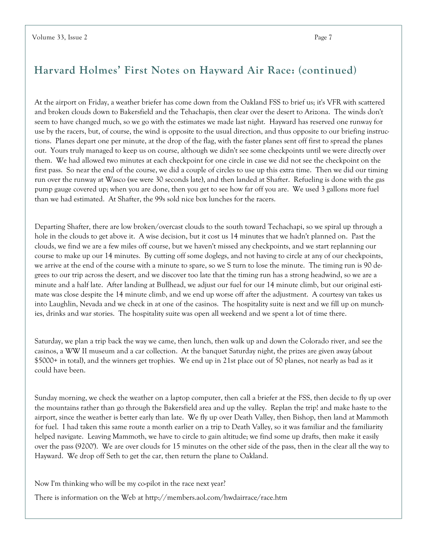### Harvard Holmes' First Notes on Hayward Air Race: (continued)

At the airport on Friday, a weather briefer has come down from the Oakland FSS to brief us; it's VFR with scattered and broken clouds down to Bakersfield and the Tehachapis, then clear over the desert to Arizona. The winds don't seem to have changed much, so we go with the estimates we made last night. Hayward has reserved one runway for use by the racers, but, of course, the wind is opposite to the usual direction, and thus opposite to our briefing instructions. Planes depart one per minute, at the drop of the flag, with the faster planes sent off first to spread the planes out. Yours truly managed to keep us on course, although we didn't see some checkpoints until we were directly over them. We had allowed two minutes at each checkpoint for one circle in case we did not see the checkpoint on the first pass. So near the end of the course, we did a couple of circles to use up this extra time. Then we did our timing run over the runway at Wasco (we were 30 seconds late), and then landed at Shafter. Refueling is done with the gas pump gauge covered up; when you are done, then you get to see how far off you are. We used 3 gallons more fuel than we had estimated. At Shafter, the 99s sold nice box lunches for the racers.

Departing Shafter, there are low broken/overcast clouds to the south toward Techachapi, so we spiral up through a hole in the clouds to get above it. A wise decision, but it cost us 14 minutes that we hadn't planned on. Past the clouds, we find we are a few miles off course, but we haven't missed any checkpoints, and we start replanning our course to make up our 14 minutes. By cutting off some doglegs, and not having to circle at any of our checkpoints, we arrive at the end of the course with a minute to spare, so we S turn to lose the minute. The timing run is 90 degrees to our trip across the desert, and we discover too late that the timing run has a strong headwind, so we are a minute and a half late. After landing at Bullhead, we adjust our fuel for our 14 minute climb, but our original estimate was close despite the 14 minute climb, and we end up worse off after the adjustment. A courtesy van takes us into Laughlin, Nevada and we check in at one of the casinos. The hospitality suite is next and we fill up on munchies, drinks and war stories. The hospitality suite was open all weekend and we spent a lot of time there.

Saturday, we plan a trip back the way we came, then lunch, then walk up and down the Colorado river, and see the casinos, a WW II museum and a car collection. At the banquet Saturday night, the prizes are given away (about \$5000+ in total), and the winners get trophies. We end up in 21st place out of 50 planes, not nearly as bad as it could have been.

Sunday morning, we check the weather on a laptop computer, then call a briefer at the FSS, then decide to fly up over the mountains rather than go through the Bakersfield area and up the valley. Replan the trip! and make haste to the airport, since the weather is better early than late. We fly up over Death Valley, then Bishop, then land at Mammoth for fuel. I had taken this same route a month earlier on a trip to Death Valley, so it was familiar and the familiarity helped navigate. Leaving Mammoth, we have to circle to gain altitude; we find some up drafts, then make it easily over the pass (9200'). We are over clouds for 15 minutes on the other side of the pass, then in the clear all the way to Hayward. We drop off Seth to get the car, then return the plane to Oakland.

Now I'm thinking who will be my co-pilot in the race next year?

There is information on the Web at http://members.aol.com/hwdairrace/race.htm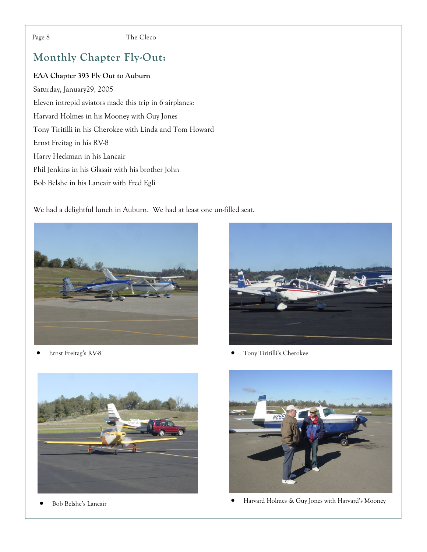#### Page 8

The Cleco

# **Monthly Chapter Fly-Out:**

#### EAA Chapter 393 Fly Out to Auburn

Saturday, January29, 2005 Eleven intrepid aviators made this trip in 6 airplanes: Harvard Holmes in his Mooney with Guy Jones Tony Tiritilli in his Cherokee with Linda and Tom Howard Ernst Freitag in his RV-8 Harry Heckman in his Lancair Phil Jenkins in his Glasair with his brother John Bob Belshe in his Lancair with Fred Egli

We had a delightful lunch in Auburn. We had at least one un-filled seat.



Ernst Freitag's RV-8



Tony Tiritilli's Cherokee



Bob Belshe's Lancair  $\bullet$ 



Harvard Holmes & Guy Jones with Harvard's Mooney  $\bullet$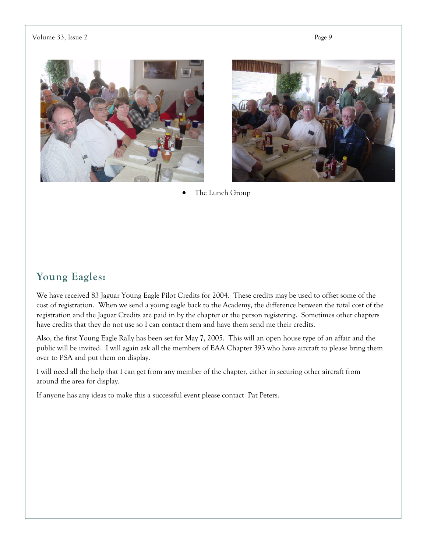Page 9

#### Volume 33, Issue 2





The Lunch Group

### **Young Eagles:**

We have received 83 Jaguar Young Eagle Pilot Credits for 2004. These credits may be used to offset some of the cost of registration. When we send a young eagle back to the Academy, the difference between the total cost of the registration and the Jaguar Credits are paid in by the chapter or the person registering. Sometimes other chapters have credits that they do not use so I can contact them and have them send me their credits.

Also, the first Young Eagle Rally has been set for May 7, 2005. This will an open house type of an affair and the public will be invited. I will again ask all the members of EAA Chapter 393 who have aircraft to please bring them over to PSA and put them on display.

I will need all the help that I can get from any member of the chapter, either in securing other aircraft from around the area for display.

If anyone has any ideas to make this a successful event please contact Pat Peters.